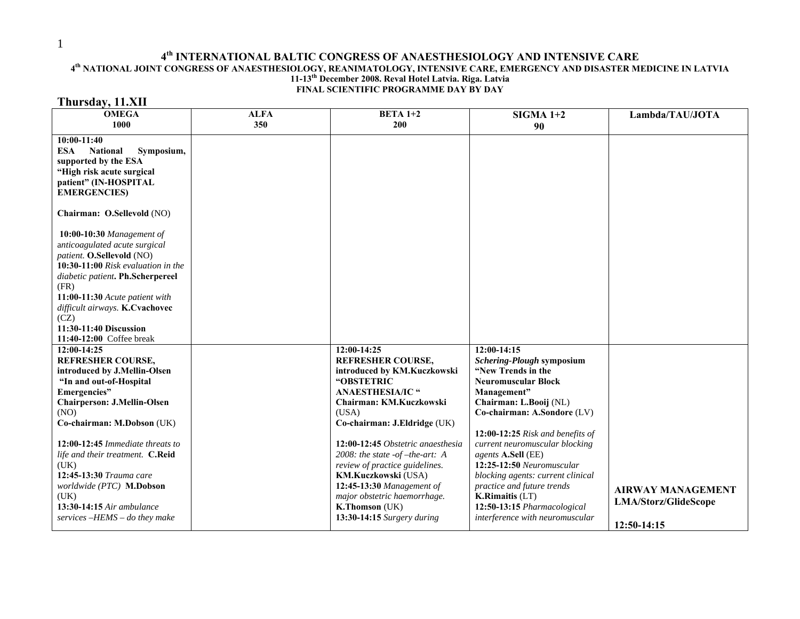## 4<sup>th</sup> INTERNATIONAL BALTIC CONGRESS OF ANAESTHESIOLOGY AND INTENSIVE CARE **4<sup>th</sup> NATIONAL JOINT CONGRESS OF ANAESTHESIOLOGY,** REANIMATOLOGY, INTENSIVE CARE, EMERGENCY AND DISASTER MEDICINE IN LATVIA **11-13th December 2008. Reval Hotel Latvia. Riga. Latvia FINAL SCIENTIFIC PROGRAMME DAY BY DAY Thursday, 11.XII**

| <b>OMEGA</b><br>1000                                                                                                                                                                                                                                                                                                                                                                                            | <b>ALFA</b><br>350 | $BETA 1+2$<br>200                                                                                                                                                                                                                                                                                                                                                                                                                  | $SIGMA 1+2$<br>90                                                                                                                                                                                                                                                                                                                                                                                                                                            | Lambda/TAU/JOTA                                                 |
|-----------------------------------------------------------------------------------------------------------------------------------------------------------------------------------------------------------------------------------------------------------------------------------------------------------------------------------------------------------------------------------------------------------------|--------------------|------------------------------------------------------------------------------------------------------------------------------------------------------------------------------------------------------------------------------------------------------------------------------------------------------------------------------------------------------------------------------------------------------------------------------------|--------------------------------------------------------------------------------------------------------------------------------------------------------------------------------------------------------------------------------------------------------------------------------------------------------------------------------------------------------------------------------------------------------------------------------------------------------------|-----------------------------------------------------------------|
| $10:00-11:40$<br><b>ESA</b><br><b>National</b><br>Symposium,<br>supported by the ESA<br>"High risk acute surgical<br>patient" (IN-HOSPITAL<br><b>EMERGENCIES</b>                                                                                                                                                                                                                                                |                    |                                                                                                                                                                                                                                                                                                                                                                                                                                    |                                                                                                                                                                                                                                                                                                                                                                                                                                                              |                                                                 |
| Chairman: O.Sellevold (NO)<br>10:00-10:30 Management of<br>anticoagulated acute surgical<br>patient. O.Sellevold (NO)<br>10:30-11:00 Risk evaluation in the<br>diabetic patient. Ph.Scherpereel<br>(FR)<br>11:00-11:30 Acute patient with<br>difficult airways. K.Cvachovec<br>(CZ)<br>11:30-11:40 Discussion<br>11:40-12:00 Coffee break                                                                       |                    |                                                                                                                                                                                                                                                                                                                                                                                                                                    |                                                                                                                                                                                                                                                                                                                                                                                                                                                              |                                                                 |
| 12:00-14:25<br><b>REFRESHER COURSE,</b><br>introduced by J.Mellin-Olsen<br>"In and out-of-Hospital<br>Emergencies"<br><b>Chairperson: J.Mellin-Olsen</b><br>(NO)<br>Co-chairman: M.Dobson (UK)<br>$12:00-12:45$ Immediate threats to<br>life and their treatment. C.Reid<br>(UK)<br>12:45-13:30 Trauma care<br>worldwide (PTC) M.Dobson<br>(UK)<br>13:30-14:15 Air ambulance<br>services $-HEMS$ – do they make |                    | 12:00-14:25<br><b>REFRESHER COURSE,</b><br>introduced by KM.Kuczkowski<br>"OBSTETRIC<br><b>ANAESTHESIA/IC "</b><br>Chairman: KM.Kuczkowski<br>(USA)<br>Co-chairman: J.Eldridge (UK)<br>12:00-12:45 Obstetric anaesthesia<br>2008: the state $-of-the-art: A$<br>review of practice guidelines.<br>KM.Kuczkowski (USA)<br>12:45-13:30 Management of<br>major obstetric haemorrhage.<br>K.Thomson (UK)<br>13:30-14:15 Surgery during | 12:00-14:15<br>Schering-Plough symposium<br>"New Trends in the<br><b>Neuromuscular Block</b><br>Management"<br>Chairman: L.Booij (NL)<br>Co-chairman: A.Sondore (LV)<br>12:00-12:25 Risk and benefits of<br>current neuromuscular blocking<br>agents A.Sell (EE)<br>12:25-12:50 Neuromuscular<br>blocking agents: current clinical<br>practice and future trends<br><b>K.Rimaitis (LT)</b><br>12:50-13:15 Pharmacological<br>interference with neuromuscular | <b>AIRWAY MANAGEMENT</b><br>LMA/Storz/GlideScope<br>12:50-14:15 |

1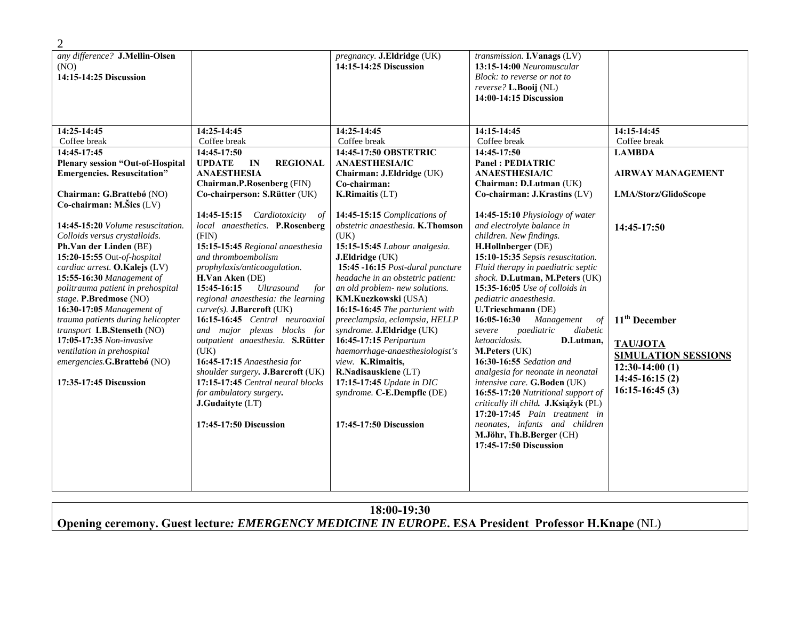| any difference? J.Mellin-Olsen<br>(NO)<br>14:15-14:25 Discussion                                                                                                                                                                                                                                                                                     |                                                                                                                                                                                                                                                                                                                                                                                                                                 | pregnancy. J.Eldridge (UK)<br>14:15-14:25 Discussion                                                                                                                                                                                                                                                                                                                                        | transmission. I. Vanags (LV)<br>13:15-14:00 Neuromuscular<br>Block: to reverse or not to                                                                                                                                                                                                                                                                                                                                                                                                                                                         |                                                                                                                                        |
|------------------------------------------------------------------------------------------------------------------------------------------------------------------------------------------------------------------------------------------------------------------------------------------------------------------------------------------------------|---------------------------------------------------------------------------------------------------------------------------------------------------------------------------------------------------------------------------------------------------------------------------------------------------------------------------------------------------------------------------------------------------------------------------------|---------------------------------------------------------------------------------------------------------------------------------------------------------------------------------------------------------------------------------------------------------------------------------------------------------------------------------------------------------------------------------------------|--------------------------------------------------------------------------------------------------------------------------------------------------------------------------------------------------------------------------------------------------------------------------------------------------------------------------------------------------------------------------------------------------------------------------------------------------------------------------------------------------------------------------------------------------|----------------------------------------------------------------------------------------------------------------------------------------|
|                                                                                                                                                                                                                                                                                                                                                      |                                                                                                                                                                                                                                                                                                                                                                                                                                 |                                                                                                                                                                                                                                                                                                                                                                                             | reverse? L.Booij (NL)<br>14:00-14:15 Discussion                                                                                                                                                                                                                                                                                                                                                                                                                                                                                                  |                                                                                                                                        |
|                                                                                                                                                                                                                                                                                                                                                      |                                                                                                                                                                                                                                                                                                                                                                                                                                 |                                                                                                                                                                                                                                                                                                                                                                                             |                                                                                                                                                                                                                                                                                                                                                                                                                                                                                                                                                  |                                                                                                                                        |
| 14:25-14:45<br>Coffee break<br>14:45-17:45<br><b>Plenary session "Out-of-Hospital</b><br><b>Emergencies. Resuscitation"</b><br>Chairman: G.Brattebø (NO)<br>Co-chairman: M.Šics (LV)<br>14:45-15:20 Volume resuscitation.<br>Colloids versus crystalloids.<br>Ph.Van der Linden (BE)<br>15:20-15:55 Out-of-hospital<br>cardiac arrest. O.Kalejs (LV) | 14:25-14:45<br>Coffee break<br>14:45-17:50<br><b>UPDATE</b><br><b>REGIONAL</b><br>IN<br><b>ANAESTHESIA</b><br><b>Chairman.P.Rosenberg (FIN)</b><br>Co-chairperson: S.Rütter (UK)<br>14:45-15:15 Cardiotoxicity of<br>local anaesthetics. P.Rosenberg<br>(FIN)<br>15:15-15:45 Regional anaesthesia<br>and thromboembolism<br>prophylaxis/anticoagulation.                                                                        | 14:25-14:45<br>Coffee break<br>14:45-17:50 OBSTETRIC<br><b>ANAESTHESIA/IC</b><br>Chairman: J.Eldridge (UK)<br>Co-chairman:<br><b>K.Rimaitis (LT)</b><br>14:45-15:15 Complications of<br>obstetric anaesthesia. K.Thomson<br>(UK)<br>15:15-15:45 Labour analgesia.<br>J.Eldridge (UK)<br>15:45 -16:15 Post-dural puncture                                                                    | 14:15-14:45<br>Coffee break<br>14:45-17:50<br><b>Panel: PEDIATRIC</b><br><b>ANAESTHESIA/IC</b><br>Chairman: D.Lutman (UK)<br>Co-chairman: J.Krastins (LV)<br>14:45-15:10 Physiology of water<br>and electrolyte balance in<br>children. New findings.<br>H.Hollnberger (DE)<br>15:10-15:35 Sepsis resuscitation.<br>Fluid therapy in paediatric septic                                                                                                                                                                                           | 14:15-14:45<br>Coffee break<br><b>LAMBDA</b><br><b>AIRWAY MANAGEMENT</b><br>LMA/Storz/GlidoScope<br>14:45-17:50                        |
| 15:55-16:30 Management of<br>politrauma patient in prehospital<br>stage. P.Bredmose (NO)<br>16:30-17:05 Management of<br>trauma patients during helicopter<br>transport LB.Stenseth (NO)<br>17:05-17:35 Non-invasive<br>ventilation in prehospital<br>emergencies.G.Brattebó (NO)<br>17:35-17:45 Discussion                                          | H.Van Aken (DE)<br>15:45-16:15<br><b>Ultrasound</b><br>for<br>regional anaesthesia: the learning<br>$curve(s)$ . J.Barcroft (UK)<br>16:15-16:45 Central neuroaxial<br>and major plexus blocks for<br>outpatient anaesthesia. S.Rütter<br>(UK)<br>16:45-17:15 Anaesthesia for<br>shoulder surgery. J.Barcroft (UK)<br>17:15-17:45 Central neural blocks<br>for ambulatory surgery.<br>J.Gudaityte (LT)<br>17:45-17:50 Discussion | headache in an obstetric patient:<br>an old problem- new solutions.<br>KM.Kuczkowski (USA)<br>16:15-16:45 The parturient with<br>preeclampsia, eclampsia, HELLP<br>syndrome. J.Eldridge (UK)<br>16:45-17:15 Peripartum<br>haemorrhage-anaesthesiologist's<br>view. K.Rimaitis,<br>R.Nadisauskiene (LT)<br>17:15-17:45 Update in DIC<br>syndrome. C-E.Dempfle (DE)<br>17:45-17:50 Discussion | shock. D.Lutman, M.Peters (UK)<br>15:35-16:05 Use of colloids in<br>pediatric anaesthesia.<br>U.Trieschmann (DE)<br>16:05-16:30<br>Management<br>of<br>diabetic<br>paediatric<br>severe<br>ketoacidosis.<br>D.Lutman,<br>M.Peters (UK)<br>16:30-16:55 Sedation and<br>analgesia for neonate in neonatal<br>intensive care. G.Boden (UK)<br>16:55-17:20 Nutritional support of<br>critically ill child. J.Ksiąžyk (PL)<br>$17:20-17:45$ Pain treatment in<br>neonates, infants and children<br>M.Jöhr, Th.B.Berger (CH)<br>17:45-17:50 Discussion | 11 <sup>th</sup> December<br><b>TAU/JOTA</b><br><b>SIMULATION SESSIONS</b><br>$12:30-14:00(1)$<br>$14:45-16:15(2)$<br>$16:15-16:45(3)$ |

| 18:00-19:30                                                                                         |  |
|-----------------------------------------------------------------------------------------------------|--|
| Opening ceremony. Guest lecture: EMERGENCY MEDICINE IN EUROPE. ESA President Professor H.Knape (NL) |  |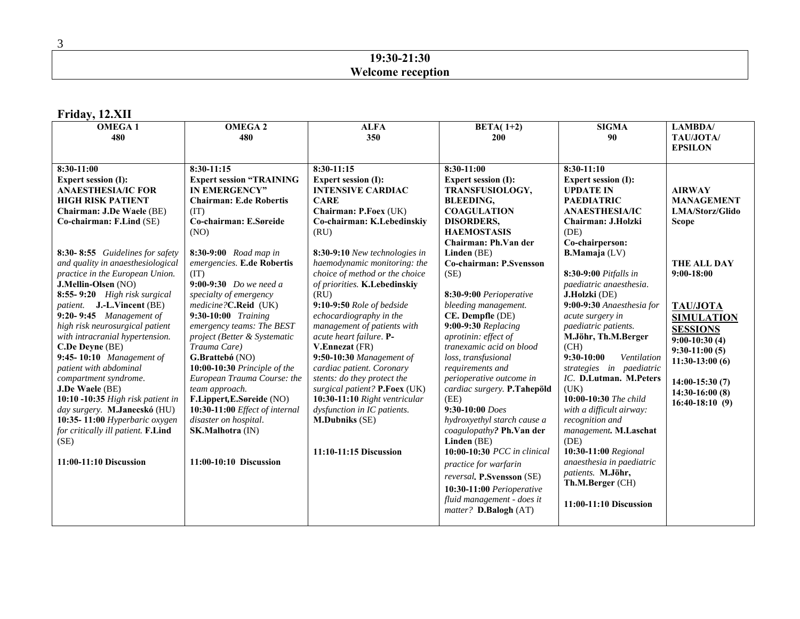## **19:30-21:30 Welcome reception**

## **Friday, 12.XII**

| <b>OMEGA1</b>                        | <b>OMEGA2</b>                   | <b>ALFA</b>                    | BETA $(1+2)$                | <b>SIGMA</b>                | <b>LAMBDA</b> /    |
|--------------------------------------|---------------------------------|--------------------------------|-----------------------------|-----------------------------|--------------------|
| 480                                  | 480                             | 350                            | 200                         | 90                          | TAU/JOTA/          |
|                                      |                                 |                                |                             |                             | <b>EPSILON</b>     |
|                                      |                                 |                                |                             |                             |                    |
| 8:30-11:00                           | 8:30-11:15                      | $8:30-11:15$                   | 8:30-11:00                  | $8:30-11:10$                |                    |
| <b>Expert session (I):</b>           | <b>Expert session "TRAINING</b> | <b>Expert session (I):</b>     | <b>Expert session (I):</b>  | <b>Expert session (I):</b>  |                    |
| <b>ANAESTHESIA/IC FOR</b>            | <b>IN EMERGENCY"</b>            | <b>INTENSIVE CARDIAC</b>       | <b>TRANSFUSIOLOGY,</b>      | <b>UPDATE IN</b>            | <b>AIRWAY</b>      |
| <b>HIGH RISK PATIENT</b>             | <b>Chairman: E.de Robertis</b>  | <b>CARE</b>                    | <b>BLEEDING,</b>            | <b>PAEDIATRIC</b>           | <b>MANAGEMENT</b>  |
| Chairman: J.De Waele (BE)            | (TT)                            | Chairman: P.Foex (UK)          | <b>COAGULATION</b>          | <b>ANAESTHESIA/IC</b>       | LMA/Storz/Glido    |
| Co-chairman: F.Lind (SE)             | Co-chairman: E.Søreide          | Co-chairman: K.Lebedinskiy     | <b>DISORDERS,</b>           | Chairman: J.Holzki          | <b>Scope</b>       |
|                                      | (NO)                            | (RU)                           | <b>HAEMOSTASIS</b>          | (DE)                        |                    |
|                                      |                                 |                                | Chairman: Ph.Van der        | Co-chairperson:             |                    |
| 8:30-8:55 Guidelines for safety      | 8:30-9:00 Road map in           | 8:30-9:10 New technologies in  | Linden (BE)                 | <b>B.Mamaja</b> (LV)        |                    |
| and quality in anaesthesiological    | emergencies. E.de Robertis      | haemodynamic monitoring: the   | Co-chairman: P.Svensson     |                             | <b>THE ALL DAY</b> |
| practice in the European Union.      | (TT)                            | choice of method or the choice | (SE)                        | 8:30-9:00 Pitfalls in       | $9:00-18:00$       |
| J.Mellin-Olsen (NO)                  | 9:00-9:30 Do we need a          | of priorities. K.Lebedinskiy   |                             | paediatric anaesthesia.     |                    |
| 8:55-9:20 High risk surgical         | specialty of emergency          | (RU)                           | 8:30-9:00 Perioperative     | J.Holzki (DE)               |                    |
| <i>patient.</i> J.-L.Vincent (BE)    | medicine?C.Reid (UK)            | 9:10-9:50 Role of bedside      | bleeding management.        | 9:00-9:30 Anaesthesia for   | <b>TAU/JOTA</b>    |
| $9:20-9:45$ Management of            | 9:30-10:00 Training             | echocardiography in the        | CE. Dempfle (DE)            | acute surgery in            | <b>SIMULATION</b>  |
| high risk neurosurgical patient      | emergency teams: The BEST       | management of patients with    | 9:00-9:30 Replacing         | paediatric patients.        | <b>SESSIONS</b>    |
| with intracranial hypertension.      | project (Better & Systematic    | acute heart failure. P-        | aprotinin: effect of        | M.Jöhr, Th.M.Berger         | $9:00-10:30(4)$    |
| C.De Deyne (BE)                      | Trauma Care)                    | V.Ennezat (FR)                 | tranexamic acid on blood    | (CH)                        | $9:30-11:00(5)$    |
| 9:45-10:10 Management of             | G.Brattebó (NO)                 | 9:50-10:30 Management of       | loss, transfusional         | $9:30-10:00$<br>Ventilation | $11:30-13:00(6)$   |
| patient with abdominal               | 10:00-10:30 Principle of the    | cardiac patient. Coronary      | requirements and            | strategies in paediatric    |                    |
| compartment syndrome.                | European Trauma Course: the     | stents: do they protect the    | perioperative outcome in    | IC. D.Lutman. M.Peters      | $14:00-15:30(7)$   |
| J.De Waele (BE)                      | team approach.                  | surgical patient? P.Foex (UK)  | cardiac surgery. P.Tahepöld | (UK)                        | $14:30-16:00(8)$   |
| $10:10 - 10:35$ High risk patient in | F.Lippert, E.Søreide (NO)       | 10:30-11:10 Right ventricular  | (EE)                        | 10:00-10:30 The child       | $16:40-18:10(9)$   |
| day surgery. M.Janecskó (HU)         | 10:30-11:00 Effect of internal  | dysfunction in IC patients.    | 9:30-10:00 Does             | with a difficult airway:    |                    |
| 10:35-11:00 Hyperbaric oxygen        | disaster on hospital.           | <b>M.Dubniks</b> (SE)          | hydroxyethyl starch cause a | recognition and             |                    |
| for critically ill patient. F.Lind   | SK.Malhotra (IN)                |                                | coagulopathy? Ph.Van der    | management. M.Laschat       |                    |
| (SE)                                 |                                 |                                | Linden (BE)                 | (DE)                        |                    |
|                                      |                                 | 11:10-11:15 Discussion         | 10:00-10:30 PCC in clinical | 10:30-11:00 Regional        |                    |
| 11:00-11:10 Discussion               | 11:00-10:10 Discussion          |                                | practice for warfarin       | anaesthesia in paediatric   |                    |
|                                      |                                 |                                | reversal. P.Svensson (SE)   | patients. M.Jöhr,           |                    |
|                                      |                                 |                                |                             | Th.M.Berger (CH)            |                    |
|                                      |                                 |                                | 10:30-11:00 Perioperative   |                             |                    |
|                                      |                                 |                                | fluid management - does it  | 11:00-11:10 Discussion      |                    |
|                                      |                                 |                                | matter? D.Balogh (AT)       |                             |                    |
|                                      |                                 |                                |                             |                             |                    |

3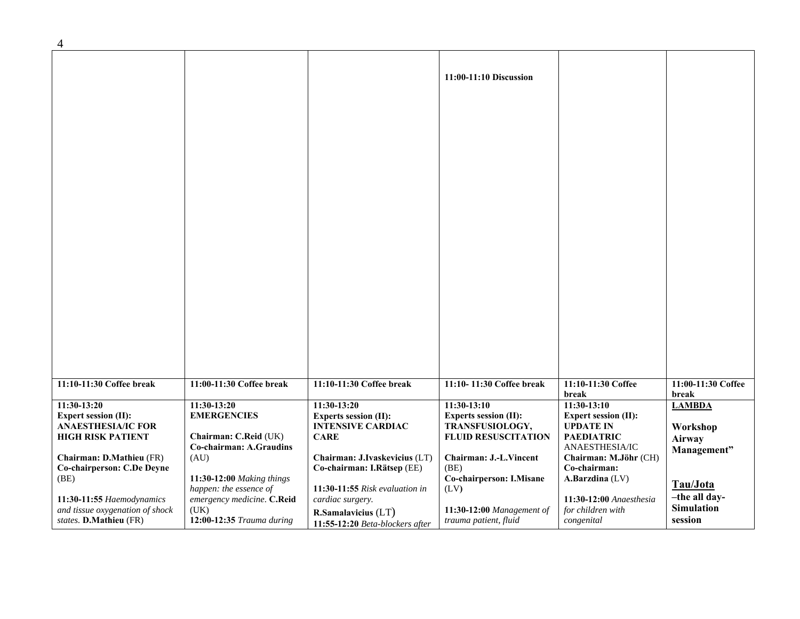| $\overline{4}$                  |                                                  |                                 |                               |                                     |                              |
|---------------------------------|--------------------------------------------------|---------------------------------|-------------------------------|-------------------------------------|------------------------------|
|                                 |                                                  |                                 | 11:00-11:10 Discussion        |                                     |                              |
|                                 |                                                  |                                 |                               |                                     |                              |
|                                 |                                                  |                                 |                               |                                     |                              |
|                                 |                                                  |                                 |                               |                                     |                              |
|                                 |                                                  |                                 |                               |                                     |                              |
|                                 |                                                  |                                 |                               |                                     |                              |
| 11:10-11:30 Coffee break        | 11:00-11:30 Coffee break                         | 11:10-11:30 Coffee break        | 11:10-11:30 Coffee break      | 11:10-11:30 Coffee<br>break         | 11:00-11:30 Coffee<br>break  |
| 11:30-13:20                     | 11:30-13:20                                      | $11:30-13:20$                   | $11:30-13:10$                 | $11:30-13:10$                       | <b>LAMBDA</b>                |
| <b>Expert session (II):</b>     | <b>EMERGENCIES</b>                               | <b>Experts session (II):</b>    | <b>Experts session (II):</b>  | <b>Expert session (II):</b>         |                              |
| <b>ANAESTHESIA/IC FOR</b>       |                                                  | <b>INTENSIVE CARDIAC</b>        | TRANSFUSIOLOGY,               | <b>UPDATE IN</b>                    | Workshop                     |
| <b>HIGH RISK PATIENT</b>        | Chairman: C.Reid (UK)<br>Co-chairman: A.Graudins | <b>CARE</b>                     | <b>FLUID RESUSCITATION</b>    | <b>PAEDIATRIC</b><br>ANAESTHESIA/IC | <b>Airway</b>                |
| Chairman: D.Mathieu (FR)        | (AU)                                             | Chairman: J.Ivaskevicius (LT)   | <b>Chairman: J.-L.Vincent</b> | Chairman: M.Jöhr (CH)               | Management"                  |
| Co-chairperson: C.De Deyne      |                                                  | Co-chairman: I.Rätsep (EE)      | (BE)                          | Co-chairman:                        |                              |
| (BE)                            | 11:30-12:00 Making things                        |                                 | Co-chairperson: I.Misane      | A.Barzdina (LV)                     |                              |
|                                 | happen: the essence of                           | 11:30-11:55 Risk evaluation in  | (LV)                          |                                     | Tau/Jota                     |
| 11:30-11:55 Haemodynamics       | emergency medicine. C.Reid                       | cardiac surgery.                |                               | 11:30-12:00 Anaesthesia             | -the all day-                |
| and tissue oxygenation of shock | (UK)                                             | R.Samalavicius (LT)             | 11:30-12:00 Management of     | for children with                   | <b>Simulation</b><br>session |
| states. D.Mathieu (FR)          | 12:00-12:35 Trauma during                        | 11:55-12:20 Beta-blockers after | trauma patient, fluid         | congenital                          |                              |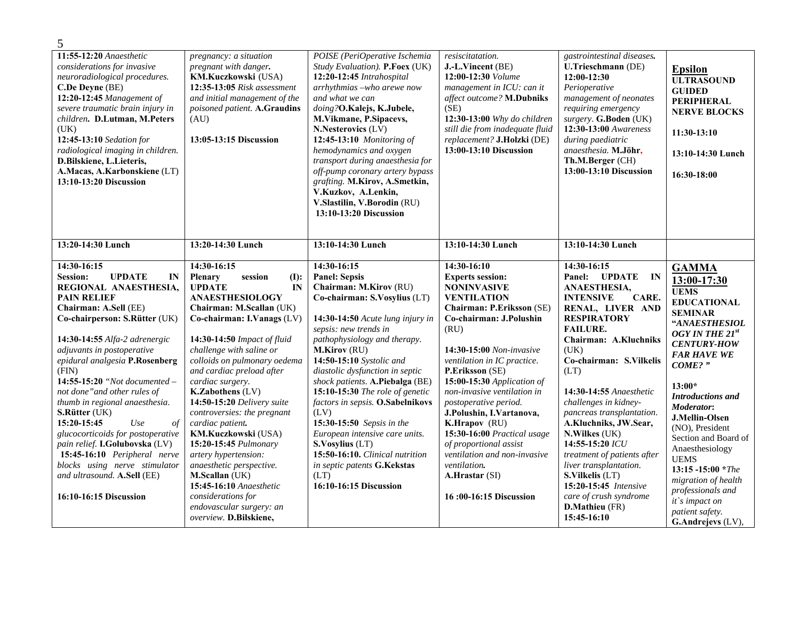| 5                                                                                                                                                                                                                                                                                                                                                                                                                                                                                                                                                                                                                              |                                                                                                                                                                                                                                                                                                                                                                                                                                                                                                                                                                                                                                           |                                                                                                                                                                                                                                                                                                                                                                                                                                                                                                                                                                                   |                                                                                                                                                                                                                                                                                                                                                                                                                                                                                                                          |                                                                                                                                                                                                                                                                                                                                                                                                                                                                                                                             |                                                                                                                                                                                                                                                                                                                                                                                                                                                                               |
|--------------------------------------------------------------------------------------------------------------------------------------------------------------------------------------------------------------------------------------------------------------------------------------------------------------------------------------------------------------------------------------------------------------------------------------------------------------------------------------------------------------------------------------------------------------------------------------------------------------------------------|-------------------------------------------------------------------------------------------------------------------------------------------------------------------------------------------------------------------------------------------------------------------------------------------------------------------------------------------------------------------------------------------------------------------------------------------------------------------------------------------------------------------------------------------------------------------------------------------------------------------------------------------|-----------------------------------------------------------------------------------------------------------------------------------------------------------------------------------------------------------------------------------------------------------------------------------------------------------------------------------------------------------------------------------------------------------------------------------------------------------------------------------------------------------------------------------------------------------------------------------|--------------------------------------------------------------------------------------------------------------------------------------------------------------------------------------------------------------------------------------------------------------------------------------------------------------------------------------------------------------------------------------------------------------------------------------------------------------------------------------------------------------------------|-----------------------------------------------------------------------------------------------------------------------------------------------------------------------------------------------------------------------------------------------------------------------------------------------------------------------------------------------------------------------------------------------------------------------------------------------------------------------------------------------------------------------------|-------------------------------------------------------------------------------------------------------------------------------------------------------------------------------------------------------------------------------------------------------------------------------------------------------------------------------------------------------------------------------------------------------------------------------------------------------------------------------|
| 11:55-12:20 Anaesthetic<br>considerations for invasive<br>neuroradiological procedures.<br>C.De Deyne (BE)<br>12:20-12:45 Management of<br>severe traumatic brain injury in<br>children. D.Lutman, M.Peters<br>(UK)<br>12:45-13:10 Sedation for<br>radiological imaging in children.<br>D.Bilskiene, L.Lieteris,<br>A.Macas, A.Karbonskiene (LT)<br>13:10-13:20 Discussion                                                                                                                                                                                                                                                     | pregnancy: a situation<br>pregnant with danger.<br>KM.Kuczkowski (USA)<br>12:35-13:05 Risk assessment<br>and initial management of the<br>poisoned patient. A.Graudins<br>(AU)<br>13:05-13:15 Discussion                                                                                                                                                                                                                                                                                                                                                                                                                                  | POISE (PeriOperative Ischemia<br>Study Evaluation). P.Foex (UK)<br>12:20-12:45 Intrahospital<br>arrhythmias -who arewe now<br>and what we can<br>doing?O.Kalejs, K.Jubele,<br>M.Vikmane, P.Sipacevs,<br>N.Nesterovics (LV)<br>12:45-13:10 Monitoring of<br>hemodynamics and oxygen<br>transport during anaesthesia for<br>off-pump coronary artery bypass<br>grafting. M.Kirov, A.Smetkin,<br>V.Kuzkov, A.Lenkin,<br>V.Slastilin, V.Borodin (RU)<br>13:10-13:20 Discussion                                                                                                        | resiscitatation.<br>J.-L.Vincent (BE)<br>12:00-12:30 Volume<br>management in ICU: can it<br>affect outcome? M.Dubniks<br>(SE)<br>12:30-13:00 Why do children<br>still die from inadequate fluid<br>replacement? J.Holzki (DE)<br>13:00-13:10 Discussion                                                                                                                                                                                                                                                                  | gastrointestinal diseases.<br>U.Trieschmann (DE)<br>$12:00-12:30$<br>Perioperative<br>management of neonates<br>requiring emergency<br>surgery. G.Boden (UK)<br>12:30-13:00 Awareness<br>during paediatric<br>anaesthesia. M.Jöhr,<br>Th.M.Berger (CH)<br>13:00-13:10 Discussion                                                                                                                                                                                                                                            | <b>Epsilon</b><br><b>ULTRASOUND</b><br><b>GUIDED</b><br><b>PERIPHERAL</b><br><b>NERVE BLOCKS</b><br>11:30-13:10<br>13:10-14:30 Lunch<br>16:30-18:00                                                                                                                                                                                                                                                                                                                           |
| 13:20-14:30 Lunch                                                                                                                                                                                                                                                                                                                                                                                                                                                                                                                                                                                                              | 13:20-14:30 Lunch                                                                                                                                                                                                                                                                                                                                                                                                                                                                                                                                                                                                                         | 13:10-14:30 Lunch                                                                                                                                                                                                                                                                                                                                                                                                                                                                                                                                                                 | 13:10-14:30 Lunch                                                                                                                                                                                                                                                                                                                                                                                                                                                                                                        | 13:10-14:30 Lunch                                                                                                                                                                                                                                                                                                                                                                                                                                                                                                           |                                                                                                                                                                                                                                                                                                                                                                                                                                                                               |
| 14:30-16:15<br><b>UPDATE</b><br><b>Session:</b><br>IN<br>REGIONAL ANAESTHESIA,<br><b>PAIN RELIEF</b><br>Chairman: A.Sell (EE)<br>Co-chairperson: S.Rütter (UK)<br>14:30-14:55 Alfa-2 adrenergic<br>adjuvants in postoperative<br>epidural analgesia P.Rosenberg<br>(FIN)<br>14:55-15:20 "Not documented -<br>not done" and other rules of<br>thumb in regional anaesthesia.<br>S.Rütter (UK)<br>Use<br>15:20-15:45<br>$\iota$<br>glucocorticoids for postoperative<br>pain relief. I.Golubovska (LV)<br>15:45-16:10 Peripheral nerve<br>blocks using nerve stimulator<br>and ultrasound. A.Sell (EE)<br>16:10-16:15 Discussion | 14:30-16:15<br>Plenary<br>session<br>(I):<br><b>UPDATE</b><br>IN<br><b>ANAESTHESIOLOGY</b><br>Chairman: M.Scallan (UK)<br>Co-chairman: I.Vanags (LV)<br>14:30-14:50 Impact of fluid<br>challenge with saline or<br>colloids on pulmonary oedema<br>and cardiac preload after<br>cardiac surgery.<br>K.Zabothens (LV)<br>14:50-15:20 Delivery suite<br>controversies: the pregnant<br>cardiac patient.<br>KM.Kuczkowski (USA)<br>15:20-15:45 Pulmonary<br>artery hypertension:<br>anaesthetic perspective.<br><b>M.Scallan</b> (UK)<br>15:45-16:10 Anaesthetic<br>considerations for<br>endovascular surgery: an<br>overview. D.Bilskiene, | 14:30-16:15<br><b>Panel: Sepsis</b><br>Chairman: M.Kirov (RU)<br>Co-chairman: S.Vosylius (LT)<br>14:30-14:50 Acute lung injury in<br>sepsis: new trends in<br>pathophysiology and therapy.<br>M.Kirov (RU)<br>14:50-15:10 Systolic and<br>diastolic dysfunction in septic<br>shock patients. A.Piebalga (BE)<br>15:10-15:30 The role of genetic<br>factors in sepsis. O.Sabelnikovs<br>(LV)<br>15:30-15:50 Sepsis in the<br>European intensive care units.<br>S.Vosylius (LT)<br>15:50-16:10. Clinical nutrition<br>in septic patents G.Kekstas<br>(LT)<br>16:10-16:15 Discussion | 14:30-16:10<br><b>Experts session:</b><br><b>NONINVASIVE</b><br><b>VENTILATION</b><br>Chairman: P.Eriksson (SE)<br>Co-chairman: J.Polushin<br>(RU)<br>14:30-15:00 Non-invasive<br>ventilation in IC practice.<br>P.Eriksson (SE)<br>15:00-15:30 Application of<br>non-invasive ventilation in<br>postoperative period.<br>J.Polushin, I.Vartanova,<br>K.Hrapov (RU)<br>15:30-16:00 Practical usage<br>of proportional assist<br>ventilation and non-invasive<br>ventilation.<br>A.Hrastar (SI)<br>16:00-16:15 Discussion | 14:30-16:15<br>Panel: UPDATE IN<br>ANAESTHESIA,<br><b>INTENSIVE</b><br>CARE.<br>RENAL, LIVER AND<br><b>RESPIRATORY</b><br><b>FAILURE.</b><br>Chairman: A.Kluchniks<br>(UK)<br>Co-chairman: S.Vilkelis<br>(LT)<br>14:30-14:55 Anaesthetic<br>challenges in kidney-<br>pancreas transplantation.<br>A.Kluchniks, JW.Sear,<br>N.Wilkes (UK)<br>14:55-15:20 ICU<br>treatment of patients after<br>liver transplantation.<br>S.Vilkelis (LT)<br>15:20-15:45 Intensive<br>care of crush syndrome<br>D.Mathieu (FR)<br>15:45-16:10 | <b>GAMMA</b><br>13:00-17:30<br><b>UEMS</b><br><b>EDUCATIONAL</b><br><b>SEMINAR</b><br>"ANAESTHESIOL<br>OGY IN THE 21st<br><b>CENTURY-HOW</b><br><b>FAR HAVE WE</b><br>COME?"<br>$13:00*$<br><b>Introductions and</b><br><b>Moderator:</b><br><b>J.Mellin-Olsen</b><br>(NO), President<br>Section and Board of<br>Anaesthesiology<br><b>UEMS</b><br>$13:15 - 15:00$ *The<br>migration of health<br>professionals and<br>it's impact on<br>patient safety.<br>G.Andrejevs (LV), |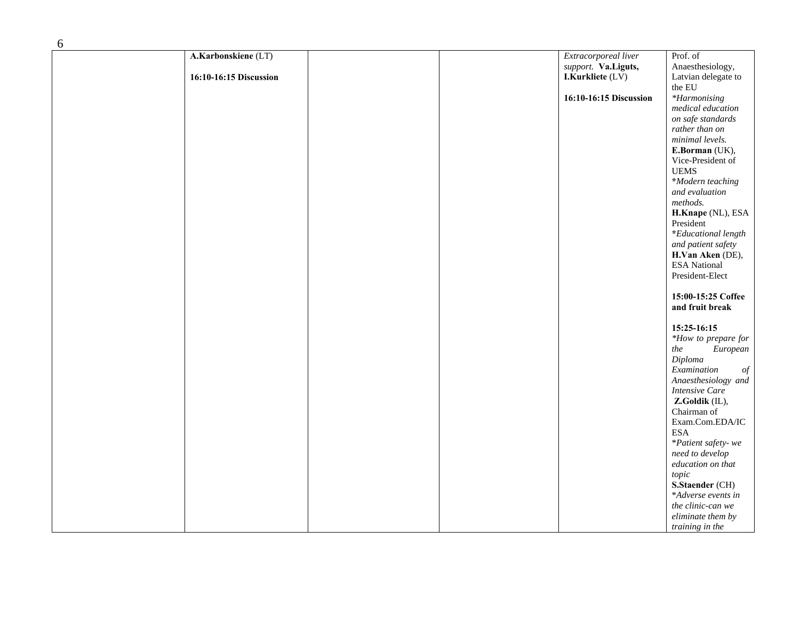| A.Karbonskiene (LT)    |  | Extracorporeal liver   | Prof. of                         |
|------------------------|--|------------------------|----------------------------------|
|                        |  | support. Va.Liguts,    | Anaesthesiology,                 |
| 16:10-16:15 Discussion |  | I.Kurkliete (LV)       | Latvian delegate to              |
|                        |  |                        | the EU                           |
|                        |  | 16:10-16:15 Discussion | *Harmonising                     |
|                        |  |                        |                                  |
|                        |  |                        | medical education                |
|                        |  |                        | on safe standards                |
|                        |  |                        | rather than on                   |
|                        |  |                        | minimal levels.                  |
|                        |  |                        | E.Borman (UK),                   |
|                        |  |                        | Vice-President of                |
|                        |  |                        | <b>UEMS</b>                      |
|                        |  |                        | *Modern teaching                 |
|                        |  |                        | and evaluation                   |
|                        |  |                        | methods.                         |
|                        |  |                        | H.Knape (NL), ESA                |
|                        |  |                        | President                        |
|                        |  |                        | *Educational length              |
|                        |  |                        | and patient safety               |
|                        |  |                        | H.Van Aken (DE),                 |
|                        |  |                        | <b>ESA</b> National              |
|                        |  |                        |                                  |
|                        |  |                        | President-Elect                  |
|                        |  |                        |                                  |
|                        |  |                        | 15:00-15:25 Coffee               |
|                        |  |                        | and fruit break                  |
|                        |  |                        |                                  |
|                        |  |                        | 15:25-16:15                      |
|                        |  |                        | *How to prepare for              |
|                        |  |                        | $\label{prop:2} European$<br>the |
|                        |  |                        | Diploma                          |
|                        |  |                        | Examination<br>$\it{of}$         |
|                        |  |                        | Anaesthesiology and              |
|                        |  |                        | <b>Intensive Care</b>            |
|                        |  |                        | Z.Goldik (IL),                   |
|                        |  |                        | Chairman of                      |
|                        |  |                        | Exam.Com.EDA/IC                  |
|                        |  |                        | <b>ESA</b>                       |
|                        |  |                        | *Patient safety-we               |
|                        |  |                        | need to develop                  |
|                        |  |                        |                                  |
|                        |  |                        | education on that                |
|                        |  |                        | topic                            |
|                        |  |                        | S.Staender (CH)                  |
|                        |  |                        | *Adverse events in               |
|                        |  |                        | the clinic-can we                |
|                        |  |                        | eliminate them by                |
|                        |  |                        | training in the                  |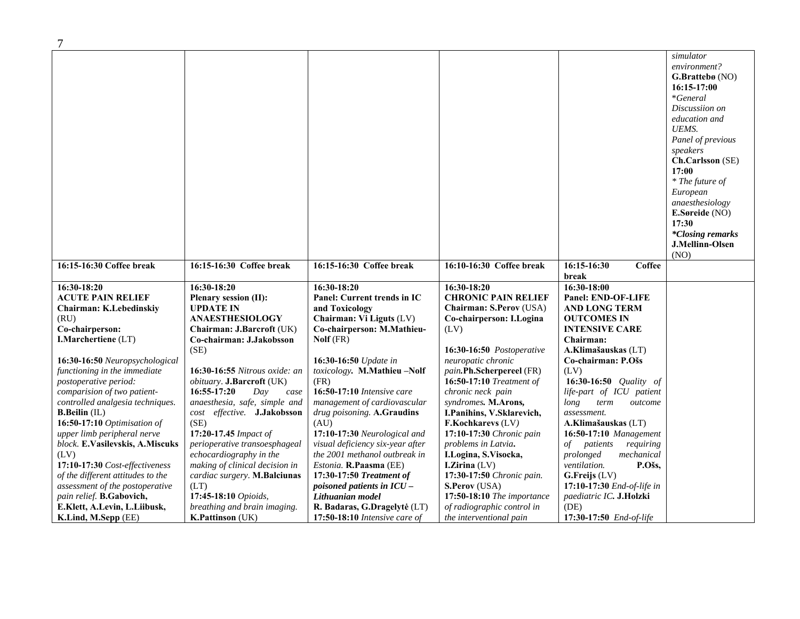|                                   |                                |                                  |                                 |                                 | simulator               |
|-----------------------------------|--------------------------------|----------------------------------|---------------------------------|---------------------------------|-------------------------|
|                                   |                                |                                  |                                 |                                 | environment?            |
|                                   |                                |                                  |                                 |                                 | <b>G.Brattebø</b> (NO)  |
|                                   |                                |                                  |                                 |                                 | $16:15-17:00$           |
|                                   |                                |                                  |                                 |                                 | <i>*General</i>         |
|                                   |                                |                                  |                                 |                                 | Discussiion on          |
|                                   |                                |                                  |                                 |                                 | education and           |
|                                   |                                |                                  |                                 |                                 | UEMS.                   |
|                                   |                                |                                  |                                 |                                 | Panel of previous       |
|                                   |                                |                                  |                                 |                                 | speakers                |
|                                   |                                |                                  |                                 |                                 | Ch.Carlsson (SE)        |
|                                   |                                |                                  |                                 |                                 | 17:00                   |
|                                   |                                |                                  |                                 |                                 | * The future of         |
|                                   |                                |                                  |                                 |                                 | European                |
|                                   |                                |                                  |                                 |                                 | anaesthesiology         |
|                                   |                                |                                  |                                 |                                 | <b>E.Søreide</b> (NO)   |
|                                   |                                |                                  |                                 |                                 | 17:30                   |
|                                   |                                |                                  |                                 |                                 | <i>*Closing remarks</i> |
|                                   |                                |                                  |                                 |                                 | J.Mellinn-Olsen         |
|                                   |                                |                                  |                                 |                                 | (NO)                    |
| 16:15-16:30 Coffee break          | 16:15-16:30 Coffee break       | 16:15-16:30 Coffee break         | 16:10-16:30 Coffee break        | 16:15-16:30<br>Coffee<br>break  |                         |
| 16:30-18:20                       | 16:30-18:20                    | 16:30-18:20                      | 16:30-18:20                     | 16:30-18:00                     |                         |
| <b>ACUTE PAIN RELIEF</b>          | Plenary session (II):          | Panel: Current trends in IC      | <b>CHRONIC PAIN RELIEF</b>      | <b>Panel: END-OF-LIFE</b>       |                         |
| Chairman: K.Lebedinskiy           | <b>UPDATE IN</b>               | and Toxicology                   | Chairman: S.Perov (USA)         | <b>AND LONG TERM</b>            |                         |
| (RU)                              | <b>ANAESTHESIOLOGY</b>         | Chairman: Vi Liguts (LV)         | Co-chairperson: I.Logina        | <b>OUTCOMES IN</b>              |                         |
| Co-chairperson:                   | Chairman: J.Barcroft (UK)      | Co-chairperson: M.Mathieu-       | (LV)                            | <b>INTENSIVE CARE</b>           |                         |
| <b>I.Marchertiene</b> (LT)        | Co-chairman: J.Jakobsson       | Nolf (FR)                        |                                 | Chairman:                       |                         |
|                                   | (SE)                           |                                  | 16:30-16:50 Postoperative       | A.Klimašauskas (LT)             |                         |
| 16:30-16:50 Neuropsychological    |                                | <b>16:30-16:50</b> Update in     | neuropatic chronic              | Co-chairman: P.Ošs              |                         |
| functioning in the immediate      | 16:30-16:55 Nitrous oxide: an  | toxicology. M.Mathieu-Nolf       | pain.Ph.Scherpereel (FR)        | (LV)                            |                         |
| postoperative period:             | obituary. J.Barcroft (UK)      | (FR)                             | <b>16:50-17:10</b> Treatment of | 16:30-16:50 Quality of          |                         |
| comparision of two patient-       | 16:55-17:20<br>Day<br>case     | 16:50-17:10 Intensive care       | chronic neck pain               | life-part of ICU patient        |                         |
| controlled analgesia techniques.  | anaesthesia, safe, simple and  | management of cardiovascular     | syndromes. M.Arons,             | long<br>term<br>outcome         |                         |
| <b>B.Beilin</b> (IL)              | cost effective. J.Jakobsson    | drug poisoning. A.Graudins       | I.Panihins, V.Sklarevich,       | assessment.                     |                         |
| 16:50-17:10 Optimisation of       | (SE)                           | (AU)                             | F.Kochkarevs (LV)               | A.Klimašauskas (LT)             |                         |
| upper limb peripheral nerve       | 17:20-17.45 Impact of          | 17:10-17:30 Neurological and     | 17:10-17:30 Chronic pain        | 16:50-17:10 Management          |                         |
| block. E.Vasilevskis, A.Miscuks   | perioperative transoesphageal  | visual deficiency six-year after | problems in Latvia.             | of <i>patients</i><br>requiring |                         |
| (LV)                              | echocardiography in the        | the 2001 methanol outbreak in    | I.Logina, S.Visocka,            | mechanical<br>prolonged         |                         |
| 17:10-17:30 Cost-effectiveness    | making of clinical decision in | Estonia. R.Paasma (EE)           | <b>I.Zirina</b> $(LV)$          | P.Ošs,<br>ventilation.          |                         |
| of the different attitudes to the | cardiac surgery. M.Balciunas   | 17:30-17:50 Treatment of         | 17:30-17:50 Chronic pain.       | $G.Freijs$ (LV)                 |                         |
| assessment of the postoperative   | (LT)                           | poisoned patients in ICU -       | S.Perov (USA)                   | 17:10-17:30 End-of-life in      |                         |
| pain relief. B.Gabovich,          | 17:45-18:10 Opioids,           | Lithuanian model                 | 17:50-18:10 The importance      | paediatric IC. J.Holzki         |                         |
| E.Klett, A.Levin, L.Liibusk,      | breathing and brain imaging.   | R. Badaras, G.Dragelytė (LT)     | of radiographic control in      | (DE)                            |                         |
| K.Lind, M.Sepp (EE)               | <b>K.Pattinson</b> (UK)        | 17:50-18:10 Intensive care of    | the interventional pain         | 17:30-17:50 End-of-life         |                         |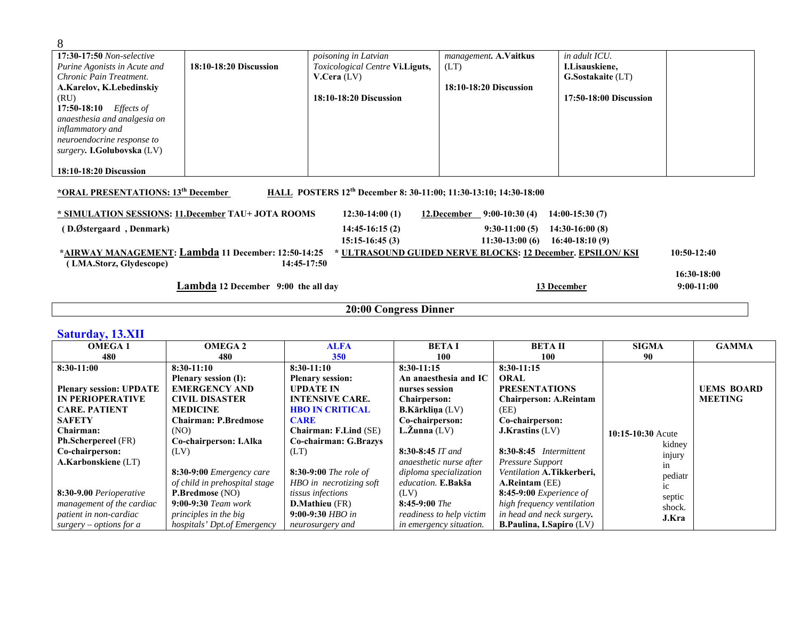| 8                                                   |                                     |                                                                              |                                                            |                        |               |
|-----------------------------------------------------|-------------------------------------|------------------------------------------------------------------------------|------------------------------------------------------------|------------------------|---------------|
| 17:30-17:50 Non-selective                           |                                     | poisoning in Latvian                                                         | management. A.Vaitkus                                      | in adult ICU.          |               |
| Purine Agonists in Acute and                        | 18:10-18:20 Discussion              | Toxicological Centre Vi.Liguts,                                              | (LT)                                                       | I.Lisauskiene,         |               |
| Chronic Pain Treatment.                             |                                     | V.Cera (LV)                                                                  |                                                            | G.Sostakaite (LT)      |               |
| A.Karelov, K.Lebedinskiy                            |                                     |                                                                              | 18:10-18:20 Discussion                                     |                        |               |
| (RU)                                                |                                     | 18:10-18:20 Discussion                                                       |                                                            | 17:50-18:00 Discussion |               |
| 17:50-18:10 <i>Effects of</i>                       |                                     |                                                                              |                                                            |                        |               |
| anaesthesia and analgesia on                        |                                     |                                                                              |                                                            |                        |               |
| inflammatory and                                    |                                     |                                                                              |                                                            |                        |               |
| neuroendocrine response to                          |                                     |                                                                              |                                                            |                        |               |
| surgery. I.Golubovska (LV)                          |                                     |                                                                              |                                                            |                        |               |
| 18:10-18:20 Discussion                              |                                     |                                                                              |                                                            |                        |               |
| *ORAL PRESENTATIONS: 13 <sup>th</sup> December      |                                     | HALL POSTERS 12 <sup>th</sup> December 8: 30-11:00; 11:30-13:10; 14:30-18:00 |                                                            |                        |               |
| * SIMULATION SESSIONS: 11. December TAU+ JOTA ROOMS |                                     | $12:30-14:00(1)$                                                             | 12.December $9:00-10:30(4)$                                | $14:00-15:30(7)$       |               |
| (D.Østergaard, Denmark)                             |                                     | $14:45-16:15(2)$                                                             | $9:30-11:00(5)$                                            | $14:30-16:00(8)$       |               |
|                                                     |                                     | $15:15-16:45(3)$                                                             | $11:30-13:00(6)$                                           | $16:40-18:10(9)$       |               |
| *AIRWAY MANAGEMENT: Lambda 11 December: 12:50-14:25 |                                     |                                                                              | * ULTRASOUND GUIDED NERVE BLOCKS: 12 December. EPSILON/KSI |                        | $10:50-12:40$ |
| (LMA.Storz, Glydescope)                             | 14:45-17:50                         |                                                                              |                                                            |                        |               |
|                                                     |                                     |                                                                              |                                                            |                        | 16:30-18:00   |
|                                                     | Lambda 12 December 9:00 the all day |                                                                              |                                                            | 13 December            | $9:00-11:00$  |
|                                                     |                                     |                                                                              |                                                            |                        |               |
|                                                     |                                     | 20:00 Congress Dinner                                                        |                                                            |                        |               |

|  |  | <b>Saturday, 13.XII</b> |
|--|--|-------------------------|
|  |  |                         |

| <b>OMEGA1</b>                  | <b>OMEGA2</b>                     | <b>ALFA</b>             | <b>BETAI</b>               | <b>BETAII</b>                   | <b>SIGMA</b>      | <b>GAMMA</b>      |
|--------------------------------|-----------------------------------|-------------------------|----------------------------|---------------------------------|-------------------|-------------------|
| 480                            | 480                               | 350                     | 100                        | 100                             | 90                |                   |
| 8:30-11:00                     | $8:30-11:10$                      | $8:30-11:10$            | $8:30-11:15$               | $8:30-11:15$                    |                   |                   |
|                                | <b>Plenary session (I):</b>       | <b>Plenary session:</b> | An anaesthesia and IC      | <b>ORAL</b>                     |                   |                   |
| <b>Plenary session: UPDATE</b> | <b>EMERGENCY AND</b>              | <b>UPDATE IN</b>        | nurses session             | <b>PRESENTATIONS</b>            |                   | <b>UEMS BOARD</b> |
| <b>IN PERIOPERATIVE</b>        | <b>CIVIL DISASTER</b>             | <b>INTENSIVE CARE.</b>  | <b>Chairperson:</b>        | <b>Chairperson: A.Reintam</b>   |                   | <b>MEETING</b>    |
| <b>CARE. PATIENT</b>           | <b>MEDICINE</b>                   | <b>HBO IN CRITICAL</b>  | <b>B.Kārkliņa</b> (LV)     | (EE)                            |                   |                   |
| <b>SAFETY</b>                  | Chairman: P.Bredmose              | <b>CARE</b>             | Co-chairperson:            | Co-chairperson:                 |                   |                   |
| Chairman:                      | (NO)                              | Chairman: F.Lind (SE)   | $L.\overline{Z}$ unna (LV) | J.Krastins (LV)                 | 10:15-10:30 Acute |                   |
| Ph.Scherpereel (FR)            | Co-chairperson: I.Alka            | Co-chairman: G.Brazys   |                            |                                 | kidney            |                   |
| Co-chairperson:                | (LV)                              | (LT)                    | $8:30-8:45$ IT and         | 8:30-8:45 Intermittent          | injury            |                   |
| A.Karbonskiene (LT)            |                                   |                         | anaesthetic nurse after    | Pressure Support                | in                |                   |
|                                | $8:30-9:00$ <i>Emergency care</i> | $8:30-9:00$ The role of | diploma specialization     | Ventilation A.Tikkerberi,       | pediatr           |                   |
|                                | of child in prehospital stage     | HBO in necrotizing soft | education. E.Bakša         | A.Reintam (EE)                  | 1C                |                   |
| 8:30-9.00 Perioperative        | <b>P.Bredmose</b> (NO)            | tissus infections       | (LV)                       | $8:45-9:00$ Experience of       | septic            |                   |
| management of the cardiac      | $9:00-9:30$ Team work             | <b>D.Mathieu</b> (FR)   | $8:45-9:00$ The            | high frequency ventilation      | shock.            |                   |
| patient in non-cardiac         | principles in the big             | $9:00-9:30$ HBO in      | readiness to help victim   | in head and neck surgery.       | J.Kra             |                   |
| surgery – options for a        | hospitals' Dpt.of Emergency       | neurosurgery and        | in emergency situation.    | <b>B.Paulina, I.Sapiro (LV)</b> |                   |                   |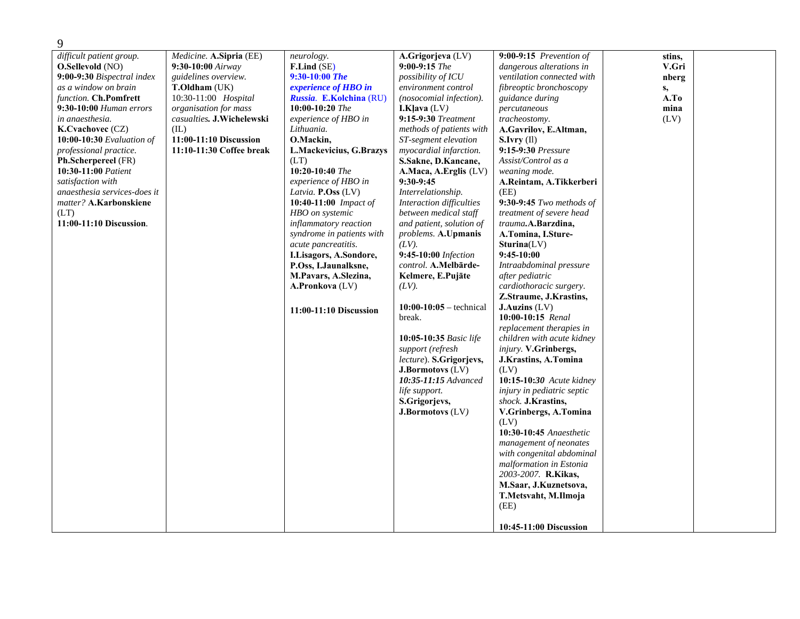| 9                                                                                                                                                                                                                                                                                                                                                                                                                                         |                                                                                                                                                                                                                                            |                                                                                                                                                                                                                                                                                                                                                                                                                                                                                                                                       |                                                                                                                                                                                                                                                                                                                                                                                                                                                                                                                                                                                                                                                                                                                                                                      |                                                                                                                                                                                                                                                                                                                                                                                                                                                                                                                                                                                                                                                                                                                                                                                                                                                                                                                                                                                                                                                          |                                                        |  |
|-------------------------------------------------------------------------------------------------------------------------------------------------------------------------------------------------------------------------------------------------------------------------------------------------------------------------------------------------------------------------------------------------------------------------------------------|--------------------------------------------------------------------------------------------------------------------------------------------------------------------------------------------------------------------------------------------|---------------------------------------------------------------------------------------------------------------------------------------------------------------------------------------------------------------------------------------------------------------------------------------------------------------------------------------------------------------------------------------------------------------------------------------------------------------------------------------------------------------------------------------|----------------------------------------------------------------------------------------------------------------------------------------------------------------------------------------------------------------------------------------------------------------------------------------------------------------------------------------------------------------------------------------------------------------------------------------------------------------------------------------------------------------------------------------------------------------------------------------------------------------------------------------------------------------------------------------------------------------------------------------------------------------------|----------------------------------------------------------------------------------------------------------------------------------------------------------------------------------------------------------------------------------------------------------------------------------------------------------------------------------------------------------------------------------------------------------------------------------------------------------------------------------------------------------------------------------------------------------------------------------------------------------------------------------------------------------------------------------------------------------------------------------------------------------------------------------------------------------------------------------------------------------------------------------------------------------------------------------------------------------------------------------------------------------------------------------------------------------|--------------------------------------------------------|--|
| difficult patient group.<br><b>O.Sellevold</b> (NO)<br>9:00-9:30 Bispectral index<br>as a window on brain<br>function. Ch.Pomfrett<br>9:30-10:00 <i>Human errors</i><br>in anaesthesia.<br>K.Cvachovec (CZ)<br><b>10:00-10:30</b> Evaluation of<br>professional practice.<br>Ph.Scherpereel (FR)<br>10:30-11:00 Patient<br>satisfaction with<br>anaesthesia services-does it<br>matter? A.Karbonskiene<br>(LT)<br>11:00-11:10 Discussion. | Medicine. A.Sipria (EE)<br>$9:30-10:00$ Airway<br>guidelines overview.<br><b>T.Oldham</b> (UK)<br>10:30-11:00 Hospital<br>organisation for mass<br>casualties. J.Wichelewski<br>(IL)<br>11:00-11:10 Discussion<br>11:10-11:30 Coffee break | neurology.<br>F.Lind (SE)<br>$9:30-10:00$ The<br>experience of HBO in<br>Russia. E.Kolchina (RU)<br>$10:00-10:20$ The<br>experience of HBO in<br>Lithuania.<br>O.Mackin,<br>L.Mackevicius, G.Brazys<br>(LT)<br>$10:20-10:40$ The<br>experience of HBO in<br>Latvia. P.Oss (LV)<br>10:40-11:00 Impact of<br>HBO on systemic<br><i>inflammatory reaction</i><br>syndrome in patients with<br>acute pancreatitis.<br>I.Lisagors, A.Sondore,<br>P.Oss, I.Jaunalksne,<br>M.Pavars, A.Slezina,<br>A.Pronkova (LV)<br>11:00-11:10 Discussion | A.Grigorjeva (LV)<br>$9:00-9:15$ The<br><i>possibility of ICU</i><br>environment control<br>(nosocomial infection).<br><b>I.Klava</b> $(LV)$<br>9:15-9:30 Treatment<br>methods of patients with<br>ST-segment elevation<br>myocardial infarction.<br>S.Sakne, D.Kancane,<br>A.Maca, A.Erglis (LV)<br>$9:30-9:45$<br>Interrelationship.<br>Interaction difficulties<br>between medical staff<br>and patient, solution of<br>problems. A.Upmanis<br>$(LV)$ .<br>9:45-10:00 Infection<br>control. A.Melbārde-<br>Kelmere, E.Pujāte<br>$(LV)$ .<br>$10:00-10:05$ – technical<br>break.<br>10:05-10:35 Basic life<br>support (refresh<br>lecture). S.Grigorjevs,<br><b>J.Bormotovs</b> (LV)<br>10:35-11:15 Advanced<br>life support.<br>S.Grigorjevs,<br>J.Bormotovs (LV) | $9:00-9:15$ Prevention of<br>dangerous alterations in<br>ventilation connected with<br>fibreoptic bronchoscopy<br>guidance during<br>percutaneous<br>tracheostomy.<br>A.Gavrilov, E.Altman,<br>S.Ivrv(II)<br>9:15-9:30 <i>Pressure</i><br>Assist/Control as a<br>weaning mode.<br>A.Reintam, A.Tikkerberi<br>(EE)<br>9:30-9:45 Two methods of<br>treatment of severe head<br>trauma.A.Barzdina,<br>A.Tomina, I.Sture-<br>Sturina(LV)<br>$9:45-10:00$<br>Intraabdominal pressure<br>after pediatric<br>cardiothoracic surgery.<br>Z.Straume, J.Krastins,<br>J. Auzins (LV)<br>10:00-10:15 Renal<br>replacement therapies in<br>children with acute kidney<br>injury. V.Grinbergs,<br>J.Krastins, A.Tomina<br>(LV)<br>10:15-10:30 Acute kidney<br>injury in pediatric septic<br>shock. J.Krastins,<br>V.Grinbergs, A.Tomina<br>(LV)<br>10:30-10:45 Anaesthetic<br>management of neonates<br>with congenital abdominal<br>malformation in Estonia<br>2003-2007. R.Kikas,<br>M.Saar, J.Kuznetsova,<br>T.Metsvaht, M.Ilmoja<br>(EE)<br>10:45-11:00 Discussion | stins,<br>V.Gri<br>nberg<br>s,<br>A.To<br>mina<br>(LV) |  |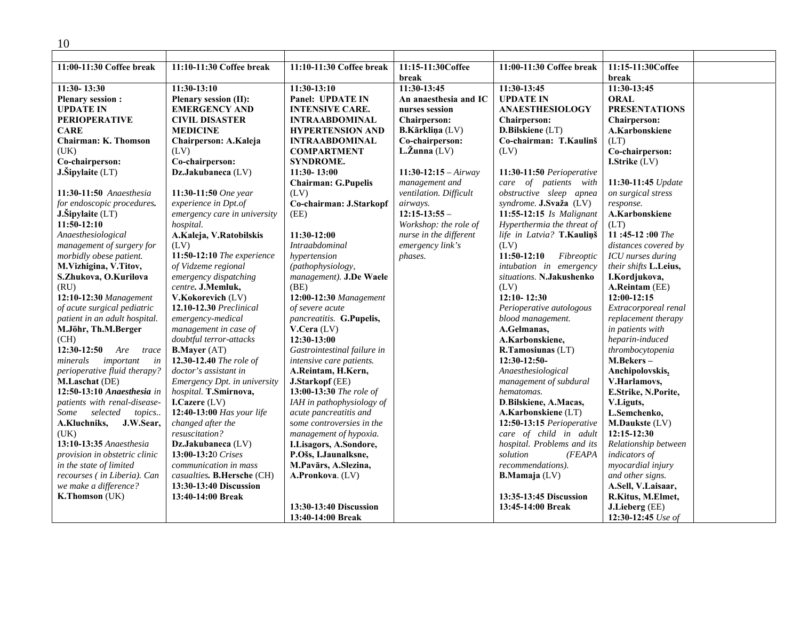| 11:00-11:30 Coffee break      | 11:10-11:30 Coffee break     | 11:10-11:30 Coffee break    | 11:15-11:30Coffee      | 11:00-11:30 Coffee break    | 11:15-11:30Coffee     |  |
|-------------------------------|------------------------------|-----------------------------|------------------------|-----------------------------|-----------------------|--|
|                               |                              |                             | break                  |                             | break                 |  |
| $11:30 - 13:30$               | $11:30-13:10$                | $11:30-13:10$               | 11:30-13:45            | 11:30-13:45                 | 11:30-13:45           |  |
| <b>Plenary session:</b>       | Plenary session (II):        | Panel: UPDATE IN            | An anaesthesia and IC  | <b>UPDATE IN</b>            | <b>ORAL</b>           |  |
| <b>UPDATE IN</b>              | <b>EMERGENCY AND</b>         | <b>INTENSIVE CARE.</b>      | nurses session         | <b>ANAESTHESIOLOGY</b>      | <b>PRESENTATIONS</b>  |  |
| <b>PERIOPERATIVE</b>          | <b>CIVIL DISASTER</b>        | INTRAABDOMINAL              | Chairperson:           | <b>Chairperson:</b>         | <b>Chairperson:</b>   |  |
| <b>CARE</b>                   | <b>MEDICINE</b>              | <b>HYPERTENSION AND</b>     | B.Kārkliņa (LV)        | D.Bilskiene (LT)            | A.Karbonskiene        |  |
| <b>Chairman: K. Thomson</b>   | Chairperson: A.Kaleja        | <b>INTRAABDOMINAL</b>       | Co-chairperson:        | Co-chairman: T.Kaulinš      | (LT)                  |  |
| (UK)                          | (LV)                         | <b>COMPARTMENT</b>          | $L.\zeta$ unna (LV)    | (LV)                        | Co-chairperson:       |  |
| Co-chairperson:               | Co-chairperson:              | <b>SYNDROME.</b>            |                        |                             | I.Strike (LV)         |  |
| J.Sipylaite (LT)              | Dz.Jakubaneca (LV)           | 11:30-13:00                 | $11:30-12:15-Airway$   | 11:30-11:50 Perioperative   |                       |  |
|                               |                              | <b>Chairman: G.Pupelis</b>  | management and         | care of patients with       | 11:30-11:45 Update    |  |
| 11:30-11:50 Anaesthesia       | 11:30-11:50 One year         | (LV)                        | ventilation. Difficult | obstructive sleep apnea     | on surgical stress    |  |
| for endoscopic procedures.    | experience in Dpt.of         | Co-chairman: J.Starkopf     | airways.               | syndrome. J.Svaža (LV)      | response.             |  |
| J.Šipylaite (LT)              | emergency care in university | (EE)                        | $12:15-13:55-$         | 11:55-12:15 Is Malignant    | A.Karbonskiene        |  |
| $11:50-12:10$                 | hospital.                    |                             | Workshop: the role of  | Hyperthermia the threat of  | (LT)                  |  |
| Anaesthesiological            | A.Kaleja, V.Ratobilskis      | 11:30-12:00                 | nurse in the different | life in Latvia? T.Kaulinš   | 11:45-12:00 The       |  |
| management of surgery for     | (LV)                         | <b>Intraabdominal</b>       | emergency link's       | (LV)                        | distances covered by  |  |
| morbidly obese patient.       | 11:50-12:10 The experience   | hypertension                | phases.                | $11:50-12:10$<br>Fibreoptic | ICU nurses during     |  |
| M.Vizhigina, V.Titov,         | of Vidzeme regional          | (pathophysiology,           |                        | intubation in emergency     | their shifts L.Leius, |  |
| S.Zhukova, O.Kurilova         | emergency dispatching        | management). J.De Waele     |                        | situations. N.Jakushenko    | I.Kordjukova,         |  |
| (RU)                          | centre. J.Memluk,            | (BE)                        |                        | (LV)                        | A.Reintam (EE)        |  |
| 12:10-12:30 Management        | V.Kokorevich (LV)            | 12:00-12:30 Management      |                        | 12:10-12:30                 | 12:00-12:15           |  |
| of acute surgical pediatric   | 12.10-12.30 Preclinical      | of severe acute             |                        | Perioperative autologous    | Extracorporeal renal  |  |
| patient in an adult hospital. | emergency-medical            | pancreatitis. G.Pupelis,    |                        | blood management.           | replacement therapy   |  |
| M.Jöhr, Th.M.Berger           | management in case of        | V.Cera (LV)                 |                        | A.Gelmanas,                 | in patients with      |  |
| (CH)                          | doubtful terror-attacks      | 12:30-13:00                 |                        | A.Karbonskiene,             | heparin-induced       |  |
| $12:30-12:50$<br>Are<br>trace | <b>B.Mayer</b> (AT)          | Gastrointestinal failure in |                        | R.Tamosiunas (LT)           | thrombocytopenia      |  |
| minerals<br>important<br>in   | 12.30-12.40 The role of      | intensive care patients.    |                        | 12:30-12:50-                | M.Bekers-             |  |
| perioperative fluid therapy?  | doctor's assistant in        | A.Reintam, H.Kern,          |                        | Anaesthesiological          | Anchipolovskis,       |  |
| M.Laschat (DE)                | Emergency Dpt. in university | J.Starkopf (EE)             |                        | management of subdural      | V.Harlamovs,          |  |
| 12:50-13:10 Anaesthesia in    | hospital. T.Smirnova,        | 13:00-13:30 The role of     |                        | hematomas.                  | E.Strike, N.Porite,   |  |
| patients with renal-disease-  | I.Cazere (LV)                | IAH in pathophysiology of   |                        | D. Bilskiene, A. Macas,     | V.Liguts,             |  |
| selected<br>Some<br>topics    | 12:40-13:00 Has your life    | acute pancreatitis and      |                        | A.Karbonskiene (LT)         | L.Semchenko,          |  |
| A.Kluchniks,<br>J.W.Sear,     | changed after the            | some controversies in the   |                        | 12:50-13:15 Perioperative   | M.Daukste (LV)        |  |
| (UK)                          | resuscitation?               | management of hypoxia.      |                        | care of child in adult      | 12:15-12:30           |  |
| 13:10-13:35 Anaesthesia       | Dz.Jakubaneca (LV)           | I.Lisagors, A.Sondore,      |                        | hospital. Problems and its  | Relationship between  |  |
| provision in obstetric clinic | 13:00-13:20 Crises           | P.Ošs, I.Jaunalksne,        |                        | solution<br>(FEAPA          | indicators of         |  |
| in the state of limited       | communication in mass        | M.Pavārs, A.Slezina,        |                        | recommendations).           | myocardial injury     |  |
| recourses (in Liberia). Can   | casualties. B.Hersche (CH)   | A.Pronkova. (LV)            |                        | <b>B.Mamaja</b> (LV)        | and other signs.      |  |
| we make a difference?         | 13:30-13:40 Discussion       |                             |                        |                             | A.Sell, V.Laisaar,    |  |
| K.Thomson (UK)                | 13:40-14:00 Break            |                             |                        | 13:35-13:45 Discussion      | R.Kitus, M.Elmet,     |  |
|                               |                              | 13:30-13:40 Discussion      |                        | 13:45-14:00 Break           | J.Lieberg (EE)        |  |
|                               |                              | 13:40-14:00 Break           |                        |                             | 12:30-12:45 Use of    |  |

10